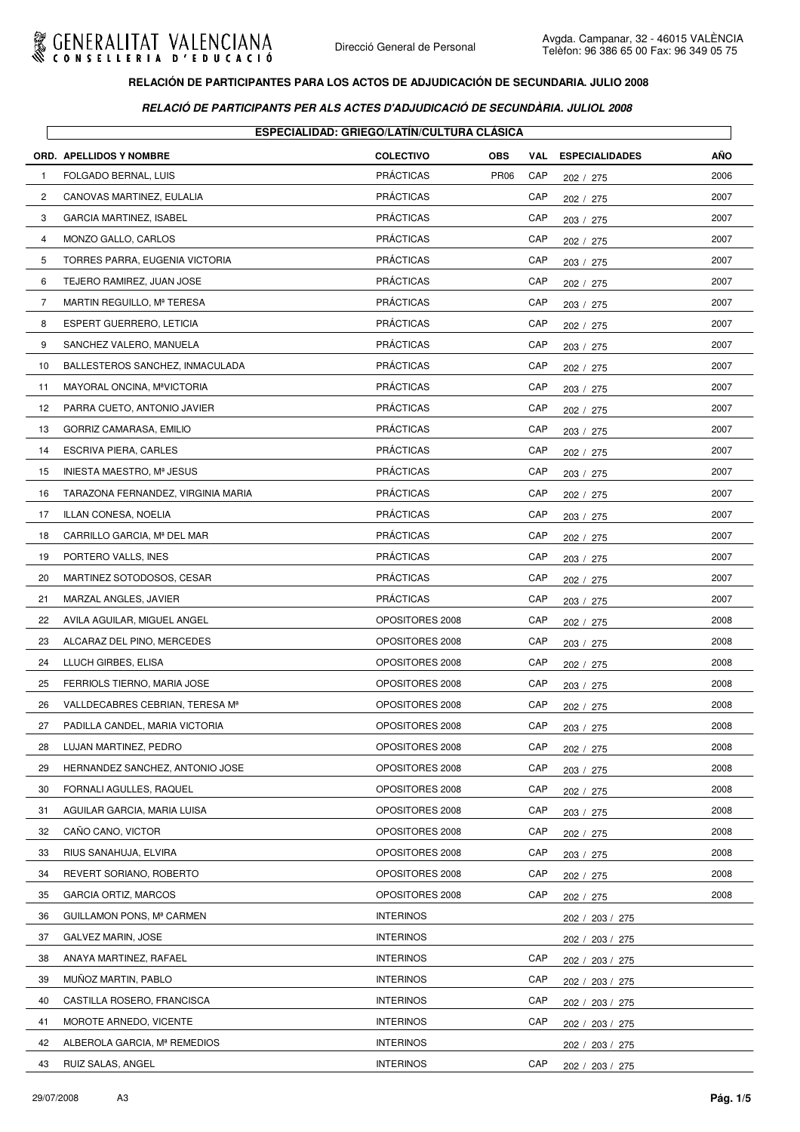

|                | ORD. APELLIDOS Y NOMBRE                 | <b>ESPECIALIDAD: GRIEGO/LATÍN/CULTURA CLÁSICA</b><br><b>COLECTIVO</b> | <b>OBS</b>  | VAL | <b>ESPECIALIDADES</b> | AÑO  |
|----------------|-----------------------------------------|-----------------------------------------------------------------------|-------------|-----|-----------------------|------|
| $\mathbf{1}$   | FOLGADO BERNAL, LUIS                    | <b>PRÁCTICAS</b>                                                      | <b>PR06</b> | CAP | 202 / 275             | 2006 |
| $\overline{c}$ | CANOVAS MARTINEZ, EULALIA               | <b>PRÁCTICAS</b>                                                      |             | CAP | 202 / 275             | 2007 |
| 3              | <b>GARCIA MARTINEZ, ISABEL</b>          | <b>PRÁCTICAS</b>                                                      |             | CAP | 203 / 275             | 2007 |
| 4              | MONZO GALLO, CARLOS                     | <b>PRÁCTICAS</b>                                                      |             | CAP | 202 / 275             | 2007 |
| 5              | TORRES PARRA, EUGENIA VICTORIA          | <b>PRÁCTICAS</b>                                                      |             | CAP | 203 / 275             | 2007 |
| 6              | TEJERO RAMIREZ, JUAN JOSE               | <b>PRÁCTICAS</b>                                                      |             | CAP | 202 / 275             | 2007 |
| $\overline{7}$ | MARTIN REGUILLO, Mª TERESA              | <b>PRÁCTICAS</b>                                                      |             | CAP | 203 / 275             | 2007 |
| 8              | ESPERT GUERRERO, LETICIA                | <b>PRÁCTICAS</b>                                                      |             | CAP | 202 / 275             | 2007 |
| 9              | SANCHEZ VALERO, MANUELA                 | <b>PRÁCTICAS</b>                                                      |             | CAP | 203 / 275             | 2007 |
| 10             | BALLESTEROS SANCHEZ, INMACULADA         | <b>PRÁCTICAS</b>                                                      |             | CAP | 202 / 275             | 2007 |
| 11             | MAYORAL ONCINA, M <sup>ª</sup> VICTORIA | <b>PRÁCTICAS</b>                                                      |             | CAP | 203 / 275             | 2007 |
| 12             | PARRA CUETO, ANTONIO JAVIER             | <b>PRÁCTICAS</b>                                                      |             | CAP | 202 / 275             | 2007 |
| 13             | GORRIZ CAMARASA, EMILIO                 | <b>PRÁCTICAS</b>                                                      |             | CAP | 203 / 275             | 2007 |
| 14             | <b>ESCRIVA PIERA, CARLES</b>            | <b>PRÁCTICAS</b>                                                      |             | CAP | 202 / 275             | 2007 |
| 15             | INIESTA MAESTRO, Mª JESUS               | <b>PRÁCTICAS</b>                                                      |             | CAP | 203 / 275             | 2007 |
| 16             | TARAZONA FERNANDEZ, VIRGINIA MARIA      | <b>PRÁCTICAS</b>                                                      |             | CAP | 202 / 275             | 2007 |
| 17             | ILLAN CONESA, NOELIA                    | <b>PRÁCTICAS</b>                                                      |             | CAP | 203 / 275             | 2007 |
| 18             | CARRILLO GARCIA, Mª DEL MAR             | <b>PRÁCTICAS</b>                                                      |             | CAP | 202 / 275             | 2007 |
| 19             | PORTERO VALLS, INES                     | <b>PRÁCTICAS</b>                                                      |             | CAP | 203 / 275             | 2007 |
| 20             | MARTINEZ SOTODOSOS, CESAR               | <b>PRÁCTICAS</b>                                                      |             | CAP | 202 / 275             | 2007 |
| 21             | MARZAL ANGLES, JAVIER                   | <b>PRÁCTICAS</b>                                                      |             | CAP | 203 / 275             | 2007 |
| 22             | AVILA AGUILAR, MIGUEL ANGEL             | OPOSITORES 2008                                                       |             | CAP | 202 / 275             | 2008 |
| 23             | ALCARAZ DEL PINO, MERCEDES              | OPOSITORES 2008                                                       |             | CAP | 203 / 275             | 2008 |
| 24             | LLUCH GIRBES, ELISA                     | OPOSITORES 2008                                                       |             | CAP | 202 / 275             | 2008 |
| 25             | FERRIOLS TIERNO, MARIA JOSE             | OPOSITORES 2008                                                       |             | CAP | 203 / 275             | 2008 |
| 26             | VALLDECABRES CEBRIAN, TERESA Mª         | OPOSITORES 2008                                                       |             | CAP | 202 / 275             | 2008 |
| 27             | PADILLA CANDEL, MARIA VICTORIA          | OPOSITORES 2008                                                       |             | CAP | 203 / 275             | 2008 |
| 28             | LUJAN MARTINEZ, PEDRO                   | OPOSITORES 2008                                                       |             | CAP | 202 / 275             | 2008 |
| 29             | HERNANDEZ SANCHEZ, ANTONIO JOSE         | OPOSITORES 2008                                                       |             | CAP | 203 / 275             | 2008 |
| 30             | FORNALI AGULLES, RAQUEL                 | OPOSITORES 2008                                                       |             | CAP | 202 / 275             | 2008 |
| 31             | AGUILAR GARCIA, MARIA LUISA             | OPOSITORES 2008                                                       |             | CAP | 203 / 275             | 2008 |
| 32             | CANO CANO, VICTOR                       | OPOSITORES 2008                                                       |             | CAP | 202 / 275             | 2008 |
| 33             | RIUS SANAHUJA, ELVIRA                   | OPOSITORES 2008                                                       |             | CAP | 203 / 275             | 2008 |
| 34             | REVERT SORIANO, ROBERTO                 | OPOSITORES 2008                                                       |             | CAP | 202 / 275             | 2008 |
| 35             | <b>GARCIA ORTIZ, MARCOS</b>             | OPOSITORES 2008                                                       |             | CAP | 202 / 275             | 2008 |
| 36             | GUILLAMON PONS, Mª CARMEN               | <b>INTERINOS</b>                                                      |             |     | 202 / 203 / 275       |      |
| 37             | GALVEZ MARIN, JOSE                      | <b>INTERINOS</b>                                                      |             |     | 202 / 203 / 275       |      |
| 38             | ANAYA MARTINEZ, RAFAEL                  | <b>INTERINOS</b>                                                      |             | CAP | 202 / 203 / 275       |      |
| 39             | MUÑOZ MARTIN, PABLO                     | <b>INTERINOS</b>                                                      |             | CAP | 202 / 203 / 275       |      |
| 40             | CASTILLA ROSERO, FRANCISCA              | <b>INTERINOS</b>                                                      |             | CAP | 202 / 203 / 275       |      |
| 41             | MOROTE ARNEDO, VICENTE                  | <b>INTERINOS</b>                                                      |             | CAP | 202 / 203 / 275       |      |
| 42             | ALBEROLA GARCIA, Mª REMEDIOS            | <b>INTERINOS</b>                                                      |             |     | 202 / 203 / 275       |      |
| 43             | RUIZ SALAS, ANGEL                       | <b>INTERINOS</b>                                                      |             | CAP | 202 / 203 / 275       |      |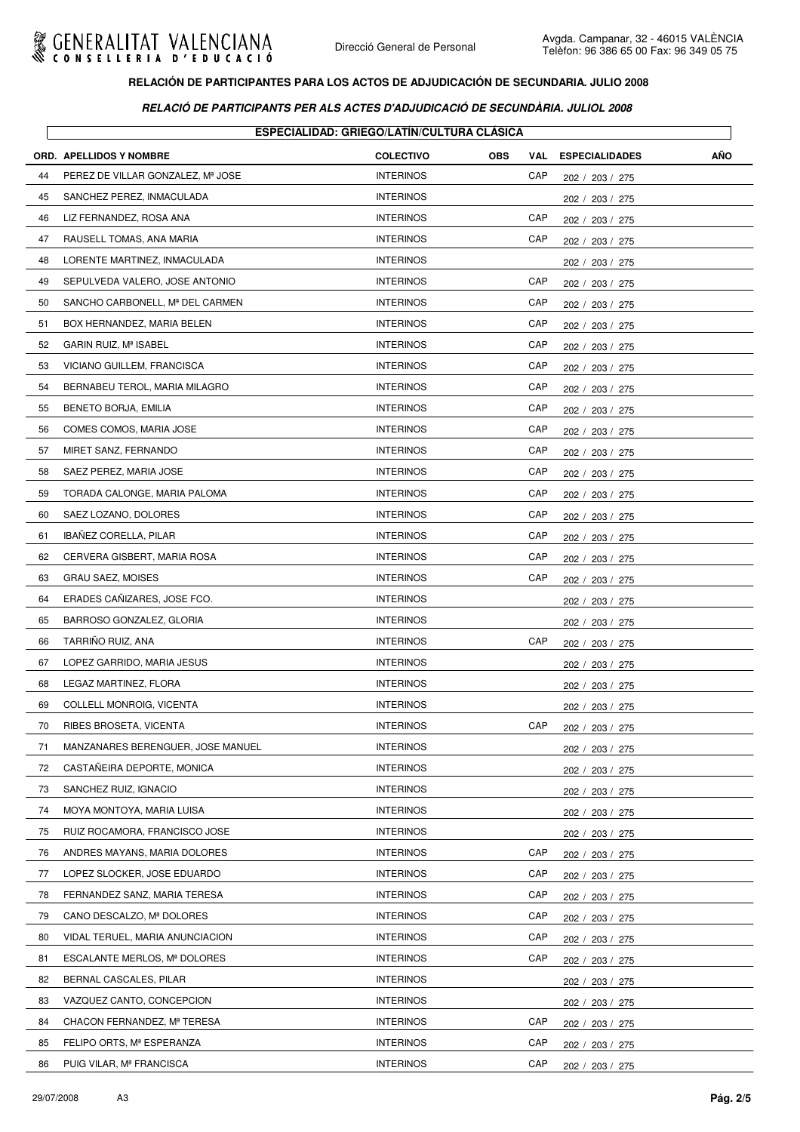

|    | ESPECIALIDAD: GRIEGO/LATIN/CULTURA CLASICA |                  |                   |                       |            |  |  |
|----|--------------------------------------------|------------------|-------------------|-----------------------|------------|--|--|
|    | <b>ORD. APELLIDOS Y NOMBRE</b>             | <b>COLECTIVO</b> | <b>OBS</b><br>VAL | <b>ESPECIALIDADES</b> | <b>AÑO</b> |  |  |
| 44 | PEREZ DE VILLAR GONZALEZ, Mª JOSE          | <b>INTERINOS</b> | CAP               | 202 / 203 / 275       |            |  |  |
| 45 | SANCHEZ PEREZ, INMACULADA                  | <b>INTERINOS</b> |                   | 202 / 203 / 275       |            |  |  |
| 46 | LIZ FERNANDEZ, ROSA ANA                    | <b>INTERINOS</b> | CAP               | 202 / 203 / 275       |            |  |  |
| 47 | RAUSELL TOMAS, ANA MARIA                   | <b>INTERINOS</b> | CAP               | 202 / 203 / 275       |            |  |  |
| 48 | LORENTE MARTINEZ, INMACULADA               | <b>INTERINOS</b> |                   | 202 / 203 / 275       |            |  |  |
| 49 | SEPULVEDA VALERO, JOSE ANTONIO             | <b>INTERINOS</b> | CAP               | 202 / 203 / 275       |            |  |  |
| 50 | SANCHO CARBONELL, Mª DEL CARMEN            | <b>INTERINOS</b> | CAP               | 202 / 203 / 275       |            |  |  |
| 51 | BOX HERNANDEZ, MARIA BELEN                 | <b>INTERINOS</b> | CAP               | 202 / 203 / 275       |            |  |  |
| 52 | GARIN RUIZ, Mª ISABEL                      | <b>INTERINOS</b> | CAP               | 202 / 203 / 275       |            |  |  |
| 53 | VICIANO GUILLEM, FRANCISCA                 | <b>INTERINOS</b> | CAP               | 202 / 203 / 275       |            |  |  |
| 54 | BERNABEU TEROL, MARIA MILAGRO              | <b>INTERINOS</b> | CAP               | 202 / 203 / 275       |            |  |  |
| 55 | BENETO BORJA, EMILIA                       | <b>INTERINOS</b> | CAP               | 202 / 203 / 275       |            |  |  |
| 56 | COMES COMOS, MARIA JOSE                    | <b>INTERINOS</b> | CAP               | 202 / 203 / 275       |            |  |  |
| 57 | MIRET SANZ, FERNANDO                       | <b>INTERINOS</b> | CAP               | 202 / 203 / 275       |            |  |  |
| 58 | SAEZ PEREZ, MARIA JOSE                     | <b>INTERINOS</b> | CAP               | 202 / 203 / 275       |            |  |  |
| 59 | TORADA CALONGE, MARIA PALOMA               | <b>INTERINOS</b> | CAP               | 202 / 203 / 275       |            |  |  |
| 60 | SAEZ LOZANO, DOLORES                       | <b>INTERINOS</b> | CAP               | 202 / 203 / 275       |            |  |  |
| 61 | <b>IBANEZ CORELLA, PILAR</b>               | <b>INTERINOS</b> | CAP               | 202 / 203 / 275       |            |  |  |
| 62 | CERVERA GISBERT, MARIA ROSA                | <b>INTERINOS</b> | CAP               | 202 / 203 / 275       |            |  |  |
| 63 | <b>GRAU SAEZ, MOISES</b>                   | <b>INTERINOS</b> | CAP               | 202 / 203 / 275       |            |  |  |
| 64 | ERADES CAÑIZARES, JOSE FCO.                | <b>INTERINOS</b> |                   | 202 / 203 / 275       |            |  |  |
| 65 | BARROSO GONZALEZ, GLORIA                   | <b>INTERINOS</b> |                   | 202 / 203 / 275       |            |  |  |
| 66 | TARRIÑO RUIZ, ANA                          | <b>INTERINOS</b> | CAP               | 202 / 203 / 275       |            |  |  |
| 67 | LOPEZ GARRIDO, MARIA JESUS                 | <b>INTERINOS</b> |                   | 202 / 203 / 275       |            |  |  |
| 68 | LEGAZ MARTINEZ, FLORA                      | <b>INTERINOS</b> |                   | 202 / 203 / 275       |            |  |  |
| 69 | COLLELL MONROIG, VICENTA                   | <b>INTERINOS</b> |                   | 202 / 203 / 275       |            |  |  |
| 70 | RIBES BROSETA, VICENTA                     | <b>INTERINOS</b> | CAP               | 202 / 203 / 275       |            |  |  |
| 71 | MANZANARES BERENGUER, JOSE MANUEL          | <b>INTERINOS</b> |                   | 202 / 203 / 275       |            |  |  |
| 72 | CASTANEIRA DEPORTE, MONICA                 | <b>INTERINOS</b> |                   | 202 / 203 / 275       |            |  |  |
| 73 | SANCHEZ RUIZ, IGNACIO                      | <b>INTERINOS</b> |                   | 202 / 203 / 275       |            |  |  |
| 74 | MOYA MONTOYA, MARIA LUISA                  | <b>INTERINOS</b> |                   | 202 / 203 / 275       |            |  |  |
| 75 | RUIZ ROCAMORA, FRANCISCO JOSE              | <b>INTERINOS</b> |                   | 202 / 203 / 275       |            |  |  |
| 76 | ANDRES MAYANS, MARIA DOLORES               | <b>INTERINOS</b> | CAP               | 202 / 203 / 275       |            |  |  |
| 77 | LOPEZ SLOCKER, JOSE EDUARDO                | <b>INTERINOS</b> | CAP               | 202 / 203 / 275       |            |  |  |
| 78 | FERNANDEZ SANZ, MARIA TERESA               | <b>INTERINOS</b> | CAP               | 202 / 203 / 275       |            |  |  |
| 79 | CANO DESCALZO, Mª DOLORES                  | <b>INTERINOS</b> | CAP               | 202 / 203 / 275       |            |  |  |
| 80 | VIDAL TERUEL, MARIA ANUNCIACION            | <b>INTERINOS</b> | CAP               | 202 / 203 / 275       |            |  |  |
| 81 | ESCALANTE MERLOS, Mª DOLORES               | <b>INTERINOS</b> | CAP               | 202 / 203 / 275       |            |  |  |
| 82 | BERNAL CASCALES, PILAR                     | <b>INTERINOS</b> |                   | 202 / 203 / 275       |            |  |  |
| 83 | VAZQUEZ CANTO, CONCEPCION                  | <b>INTERINOS</b> |                   | 202 / 203 / 275       |            |  |  |
| 84 | CHACON FERNANDEZ, Mª TERESA                | <b>INTERINOS</b> | CAP               | 202 / 203 / 275       |            |  |  |
| 85 | FELIPO ORTS, Mª ESPERANZA                  | <b>INTERINOS</b> | CAP               | 202 / 203 / 275       |            |  |  |
| 86 | PUIG VILAR, Mª FRANCISCA                   | <b>INTERINOS</b> | CAP               | 202 / 203 / 275       |            |  |  |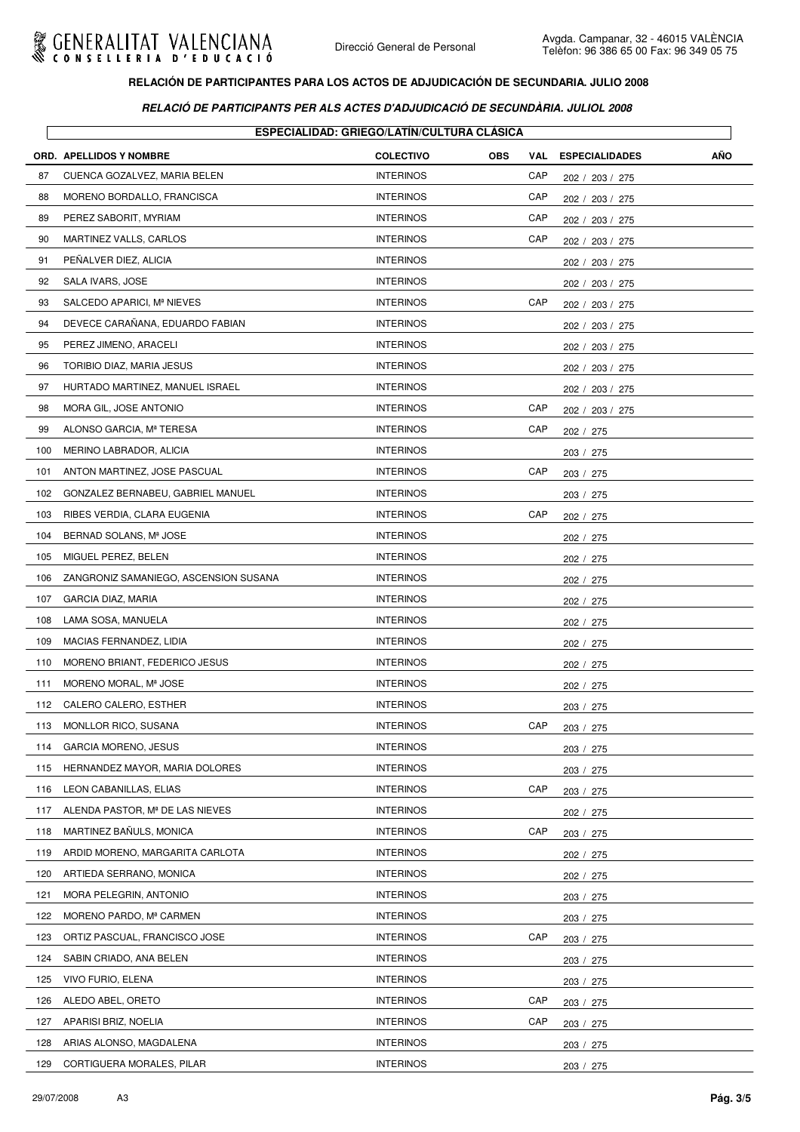

|     |                                       | <b>ESPECIALIDAD: GRIEGO/LATÍN/CULTURA CLÁSICA</b> |            |     |                       |     |
|-----|---------------------------------------|---------------------------------------------------|------------|-----|-----------------------|-----|
|     | ORD. APELLIDOS Y NOMBRE               | <b>COLECTIVO</b>                                  | <b>OBS</b> | VAL | <b>ESPECIALIDADES</b> | AÑO |
| 87  | CUENCA GOZALVEZ, MARIA BELEN          | <b>INTERINOS</b>                                  |            | CAP | 202 / 203 / 275       |     |
| 88  | MORENO BORDALLO, FRANCISCA            | <b>INTERINOS</b>                                  |            | CAP | 202 / 203 / 275       |     |
| 89  | PEREZ SABORIT, MYRIAM                 | <b>INTERINOS</b>                                  |            | CAP | 202 / 203 / 275       |     |
| 90  | MARTINEZ VALLS, CARLOS                | <b>INTERINOS</b>                                  |            | CAP | 202 / 203 / 275       |     |
| 91  | PEÑALVER DIEZ, ALICIA                 | <b>INTERINOS</b>                                  |            |     | 202 / 203 / 275       |     |
| 92  | SALA IVARS, JOSE                      | <b>INTERINOS</b>                                  |            |     | 202 / 203 / 275       |     |
| 93  | SALCEDO APARICI, Mª NIEVES            | <b>INTERINOS</b>                                  |            | CAP | 202 / 203 / 275       |     |
| 94  | DEVECE CARAÑANA, EDUARDO FABIAN       | <b>INTERINOS</b>                                  |            |     | 202 /<br>203 / 275    |     |
| 95  | PEREZ JIMENO, ARACELI                 | <b>INTERINOS</b>                                  |            |     | 202 / 203 / 275       |     |
| 96  | TORIBIO DIAZ, MARIA JESUS             | <b>INTERINOS</b>                                  |            |     | 202 / 203 / 275       |     |
| 97  | HURTADO MARTINEZ, MANUEL ISRAEL       | <b>INTERINOS</b>                                  |            |     | 202 / 203 / 275       |     |
| 98  | MORA GIL, JOSE ANTONIO                | <b>INTERINOS</b>                                  |            | CAP | 202 / 203 / 275       |     |
| 99  | ALONSO GARCIA, Mª TERESA              | <b>INTERINOS</b>                                  |            | CAP | 202 / 275             |     |
| 100 | MERINO LABRADOR, ALICIA               | <b>INTERINOS</b>                                  |            |     | 203 / 275             |     |
| 101 | ANTON MARTINEZ, JOSE PASCUAL          | <b>INTERINOS</b>                                  |            | CAP | 203 / 275             |     |
| 102 | GONZALEZ BERNABEU, GABRIEL MANUEL     | <b>INTERINOS</b>                                  |            |     | 203 / 275             |     |
| 103 | RIBES VERDIA, CLARA EUGENIA           | <b>INTERINOS</b>                                  |            | CAP | 202 / 275             |     |
| 104 | BERNAD SOLANS, Mª JOSE                | <b>INTERINOS</b>                                  |            |     | 202 / 275             |     |
| 105 | MIGUEL PEREZ, BELEN                   | <b>INTERINOS</b>                                  |            |     | 202 / 275             |     |
| 106 | ZANGRONIZ SAMANIEGO, ASCENSION SUSANA | <b>INTERINOS</b>                                  |            |     | 202 / 275             |     |
| 107 | GARCIA DIAZ, MARIA                    | <b>INTERINOS</b>                                  |            |     | 202 / 275             |     |
| 108 | LAMA SOSA, MANUELA                    | <b>INTERINOS</b>                                  |            |     | 202 / 275             |     |
| 109 | MACIAS FERNANDEZ, LIDIA               | <b>INTERINOS</b>                                  |            |     | 202 / 275             |     |
| 110 | MORENO BRIANT, FEDERICO JESUS         | <b>INTERINOS</b>                                  |            |     | 202 / 275             |     |
| 111 | MORENO MORAL, Mª JOSE                 | <b>INTERINOS</b>                                  |            |     | 202 / 275             |     |
| 112 | CALERO CALERO, ESTHER                 | <b>INTERINOS</b>                                  |            |     | 203 / 275             |     |
| 113 | MONLLOR RICO, SUSANA                  | <b>INTERINOS</b>                                  |            | CAP | 203 / 275             |     |
| 114 | <b>GARCIA MORENO, JESUS</b>           | <b>INTERINOS</b>                                  |            |     | 203 / 275             |     |
| 115 | HERNANDEZ MAYOR, MARIA DOLORES        | <b>INTERINOS</b>                                  |            |     | 203 / 275             |     |
| 116 | LEON CABANILLAS, ELIAS                | <b>INTERINOS</b>                                  |            | CAP | 203 / 275             |     |
| 117 | ALENDA PASTOR, Mª DE LAS NIEVES       | <b>INTERINOS</b>                                  |            |     | 202 / 275             |     |
| 118 | MARTINEZ BAÑULS, MONICA               | <b>INTERINOS</b>                                  |            | CAP | 203 / 275             |     |
| 119 | ARDID MORENO, MARGARITA CARLOTA       | <b>INTERINOS</b>                                  |            |     | 202 / 275             |     |
| 120 | ARTIEDA SERRANO, MONICA               | <b>INTERINOS</b>                                  |            |     | 202 / 275             |     |
| 121 | MORA PELEGRIN, ANTONIO                | <b>INTERINOS</b>                                  |            |     | 203 / 275             |     |
| 122 | MORENO PARDO, Mª CARMEN               | <b>INTERINOS</b>                                  |            |     | 203 / 275             |     |
| 123 | ORTIZ PASCUAL, FRANCISCO JOSE         | <b>INTERINOS</b>                                  |            | CAP | 203 / 275             |     |
| 124 | SABIN CRIADO, ANA BELEN               | <b>INTERINOS</b>                                  |            |     | 203 / 275             |     |
| 125 | VIVO FURIO, ELENA                     | <b>INTERINOS</b>                                  |            |     | 203 / 275             |     |
| 126 | ALEDO ABEL, ORETO                     | <b>INTERINOS</b>                                  |            | CAP | 203 / 275             |     |
| 127 | APARISI BRIZ, NOELIA                  | <b>INTERINOS</b>                                  |            | CAP | 203 / 275             |     |
| 128 | ARIAS ALONSO, MAGDALENA               | <b>INTERINOS</b>                                  |            |     | 203 / 275             |     |
| 129 | CORTIGUERA MORALES, PILAR             | <b>INTERINOS</b>                                  |            |     | 203 / 275             |     |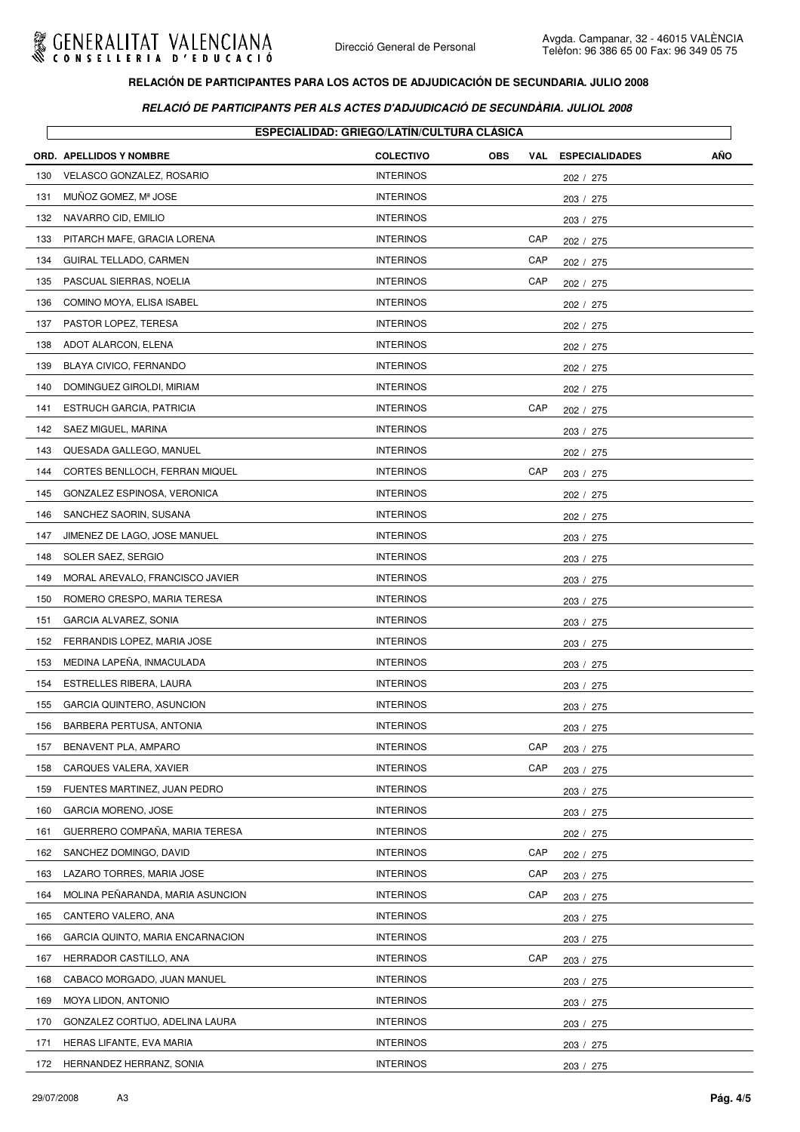

|     | <b>ORD. APELLIDOS Y NOMBRE</b>   | <b>COLECTIVO</b> | <b>OBS</b> | VAL | <b>ESPECIALIDADES</b> | AÑO |
|-----|----------------------------------|------------------|------------|-----|-----------------------|-----|
| 130 | <b>VELASCO GONZALEZ, ROSARIO</b> | <b>INTERINOS</b> |            |     | 202 / 275             |     |
| 131 | MUNOZ GOMEZ, Mª JOSE             | <b>INTERINOS</b> |            |     | 203 / 275             |     |
| 132 | NAVARRO CID, EMILIO              | <b>INTERINOS</b> |            |     | 203 / 275             |     |
| 133 | PITARCH MAFE, GRACIA LORENA      | <b>INTERINOS</b> |            | CAP | 202 / 275             |     |
| 134 | GUIRAL TELLADO, CARMEN           | <b>INTERINOS</b> |            | CAP | 202 / 275             |     |
| 135 | PASCUAL SIERRAS, NOELIA          | <b>INTERINOS</b> |            | CAP | 202 / 275             |     |
| 136 | COMINO MOYA, ELISA ISABEL        | <b>INTERINOS</b> |            |     | 202 / 275             |     |
| 137 | PASTOR LOPEZ, TERESA             | <b>INTERINOS</b> |            |     | 202 / 275             |     |
| 138 | ADOT ALARCON, ELENA              | <b>INTERINOS</b> |            |     | 202 / 275             |     |
| 139 | BLAYA CIVICO, FERNANDO           | <b>INTERINOS</b> |            |     | 202 / 275             |     |
| 140 | DOMINGUEZ GIROLDI, MIRIAM        | <b>INTERINOS</b> |            |     | 202 / 275             |     |
| 141 | <b>ESTRUCH GARCIA, PATRICIA</b>  | <b>INTERINOS</b> |            | CAP | 202 / 275             |     |
| 142 | SAEZ MIGUEL, MARINA              | <b>INTERINOS</b> |            |     | 203 / 275             |     |
| 143 | QUESADA GALLEGO, MANUEL          | <b>INTERINOS</b> |            |     | 202 / 275             |     |
| 144 | CORTES BENLLOCH, FERRAN MIQUEL   | <b>INTERINOS</b> |            | CAP | 203 / 275             |     |
| 145 | GONZALEZ ESPINOSA, VERONICA      | <b>INTERINOS</b> |            |     | 202 / 275             |     |
| 146 | SANCHEZ SAORIN, SUSANA           | <b>INTERINOS</b> |            |     | 202 / 275             |     |
| 147 | JIMENEZ DE LAGO, JOSE MANUEL     | <b>INTERINOS</b> |            |     | 203 / 275             |     |
| 148 | SOLER SAEZ, SERGIO               | <b>INTERINOS</b> |            |     | 203 / 275             |     |
| 149 | MORAL AREVALO, FRANCISCO JAVIER  | <b>INTERINOS</b> |            |     | 203 / 275             |     |
| 150 | ROMERO CRESPO, MARIA TERESA      | <b>INTERINOS</b> |            |     | 203 / 275             |     |
| 151 | GARCIA ALVAREZ, SONIA            | <b>INTERINOS</b> |            |     | 203 / 275             |     |
| 152 | FERRANDIS LOPEZ, MARIA JOSE      | <b>INTERINOS</b> |            |     | 203 / 275             |     |
| 153 | MEDINA LAPEÑA, INMACULADA        | <b>INTERINOS</b> |            |     | 203 / 275             |     |
| 154 | ESTRELLES RIBERA, LAURA          | <b>INTERINOS</b> |            |     | 203 / 275             |     |
| 155 | GARCIA QUINTERO, ASUNCION        | <b>INTERINOS</b> |            |     | 203 / 275             |     |
| 156 | BARBERA PERTUSA, ANTONIA         | <b>INTERINOS</b> |            |     | 203 / 275             |     |
| 157 | BENAVENT PLA, AMPARO             | <b>INTERINOS</b> |            | CAP | 203 / 275             |     |
| 158 | CARQUES VALERA, XAVIER           | <b>INTERINOS</b> |            | CAP | 203 / 275             |     |
| 159 | FUENTES MARTINEZ, JUAN PEDRO     | <b>INTERINOS</b> |            |     | 203 / 275             |     |
| 160 | <b>GARCIA MORENO, JOSE</b>       | <b>INTERINOS</b> |            |     | 203 / 275             |     |
| 161 | GUERRERO COMPAÑA, MARIA TERESA   | <b>INTERINOS</b> |            |     | 202 / 275             |     |
| 162 | SANCHEZ DOMINGO, DAVID           | <b>INTERINOS</b> |            | CAP | 202 / 275             |     |
| 163 | LAZARO TORRES, MARIA JOSE        | <b>INTERINOS</b> |            | CAP | 203 / 275             |     |
| 164 | MOLINA PENARANDA, MARIA ASUNCION | <b>INTERINOS</b> |            | CAP | 203 / 275             |     |
| 165 | CANTERO VALERO, ANA              | <b>INTERINOS</b> |            |     | 203 / 275             |     |
| 166 | GARCIA QUINTO, MARIA ENCARNACION | <b>INTERINOS</b> |            |     | 203 / 275             |     |
| 167 | HERRADOR CASTILLO, ANA           | <b>INTERINOS</b> |            | CAP | 203 / 275             |     |
| 168 | CABACO MORGADO, JUAN MANUEL      | <b>INTERINOS</b> |            |     | 203 / 275             |     |
| 169 | MOYA LIDON, ANTONIO              | <b>INTERINOS</b> |            |     | 203 / 275             |     |
| 170 | GONZALEZ CORTIJO, ADELINA LAURA  | <b>INTERINOS</b> |            |     | 203 / 275             |     |
| 171 | HERAS LIFANTE, EVA MARIA         | <b>INTERINOS</b> |            |     | 203 / 275             |     |
| 172 | HERNANDEZ HERRANZ, SONIA         | <b>INTERINOS</b> |            |     | 203 / 275             |     |